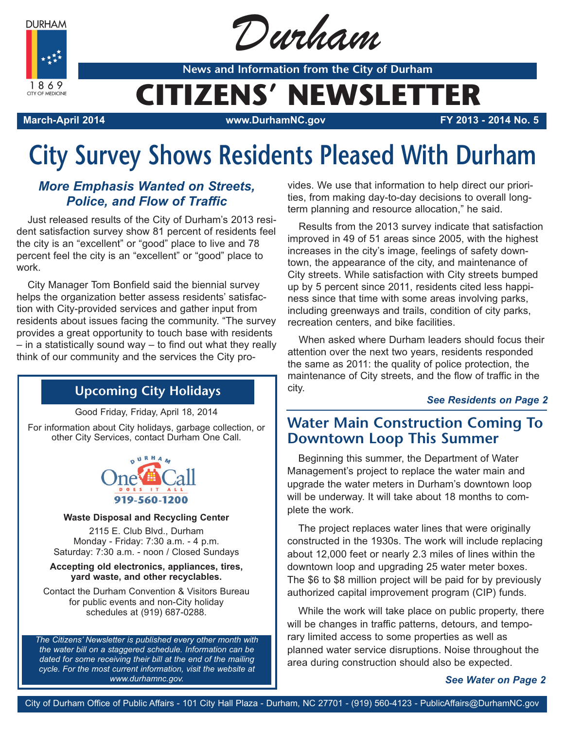**DURHAM** 



Durham

**News and Information from the City of Durham**

# **CITIZENS' NEWSLETTER**

**March-April 2014 www.DurhamNC.gov FY 2013 - 2014 No. 5**

# **City Survey Shows Residents Pleased With Durham**

### *More Emphasis Wanted on Streets, Police, and Flow of Traffic*

Just released results of the City of Durham's 2013 resident satisfaction survey show 81 percent of residents feel the city is an "excellent" or "good" place to live and 78 percent feel the city is an "excellent" or "good" place to work.

City Manager Tom Bonfield said the biennial survey helps the organization better assess residents' satisfaction with City-provided services and gather input from residents about issues facing the community. "The survey provides a great opportunity to touch base with residents – in a statistically sound way – to find out what they really think of our community and the services the City pro-

## **Upcoming City Holidays**

Good Friday, Friday, April 18, 2014

For information about City holidays, garbage collection, or other City Services, contact Durham One Call.



### **Waste Disposal and Recycling Center**

2115 E. Club Blvd., Durham Monday - Friday: 7:30 a.m. - 4 p.m. Saturday: 7:30 a.m. - noon / Closed Sundays

#### **Accepting old electronics, appliances, tires, yard waste, and other recyclables.**

Contact the Durham Convention & Visitors Bureau for public events and non-City holiday schedules at (919) 687-0288.

*The Citizens' Newsletter is published every other month with the water bill on a staggered schedule. Information can be dated for some receiving their bill at the end of the mailing cycle. For the most current information, visit the website at www.durhamnc.gov.*

vides. We use that information to help direct our priorities, from making day-to-day decisions to overall longterm planning and resource allocation," he said.

Results from the 2013 survey indicate that satisfaction improved in 49 of 51 areas since 2005, with the highest increases in the city's image, feelings of safety downtown, the appearance of the city, and maintenance of City streets. While satisfaction with City streets bumped up by 5 percent since 2011, residents cited less happiness since that time with some areas involving parks, including greenways and trails, condition of city parks, recreation centers, and bike facilities.

When asked where Durham leaders should focus their attention over the next two years, residents responded the same as 2011: the quality of police protection, the maintenance of City streets, and the flow of traffic in the city.

### *See Residents on Page 2*

## **Water Main Construction Coming To Downtown Loop This Summer**

Beginning this summer, the Department of Water Management's project to replace the water main and upgrade the water meters in Durham's downtown loop will be underway. It will take about 18 months to complete the work.

The project replaces water lines that were originally constructed in the 1930s. The work will include replacing about 12,000 feet or nearly 2.3 miles of lines within the downtown loop and upgrading 25 water meter boxes. The \$6 to \$8 million project will be paid for by previously authorized capital improvement program (CIP) funds.

While the work will take place on public property, there will be changes in traffic patterns, detours, and temporary limited access to some properties as well as planned water service disruptions. Noise throughout the area during construction should also be expected.

### *See Water on Page 2*